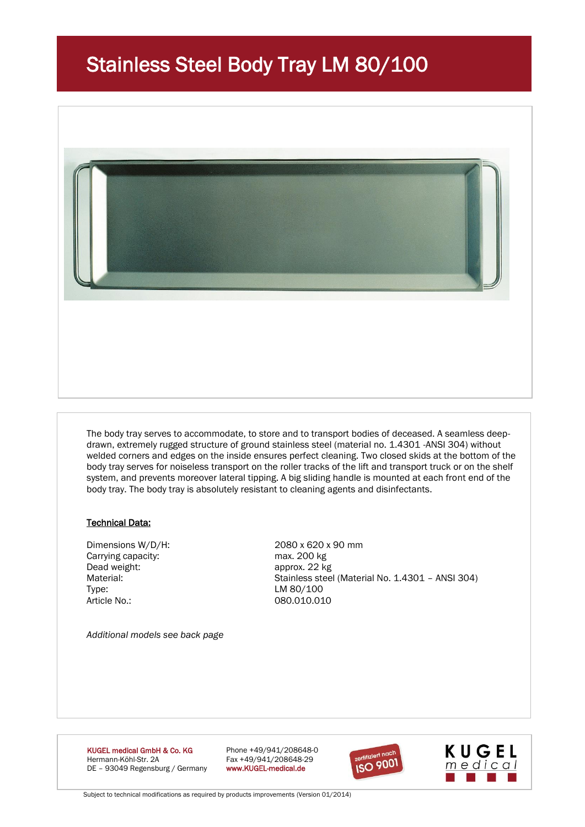# Stainless Steel Body Tray LM 80/100



The body tray serves to accommodate, to store and to transport bodies of deceased. A seamless deepdrawn, extremely rugged structure of ground stainless steel (material no. 1.4301 -ANSI 304) without welded corners and edges on the inside ensures perfect cleaning. Two closed skids at the bottom of the body tray serves for noiseless transport on the roller tracks of the lift and transport truck or on the shelf system, and prevents moreover lateral tipping. A big sliding handle is mounted at each front end of the body tray. The body tray is absolutely resistant to cleaning agents and disinfectants.

## Technical Data:

Carrying capacity: max. 200 kg Dead weight: approx. 22 kg Type: LM 80/100 Article No.: 080.010.010

Dimensions W/D/H: 2080 x 620 x 90 mm Material: Stainless steel (Material No. 1.4301 – ANSI 304)

*Additional models see back page*

**KUGEL medical GmbH & Co. KG** Phone +49/941/208648-0<br>Hermann-Köhl-Str. 2A **Phone +49/941/208648-29** DE - 93049 Regensburg / Germany

Fax +49/941/208648-29<br>www.KUGEL-medical.de





Subject to technical modifications as required by products improvements (Version 01/2014)